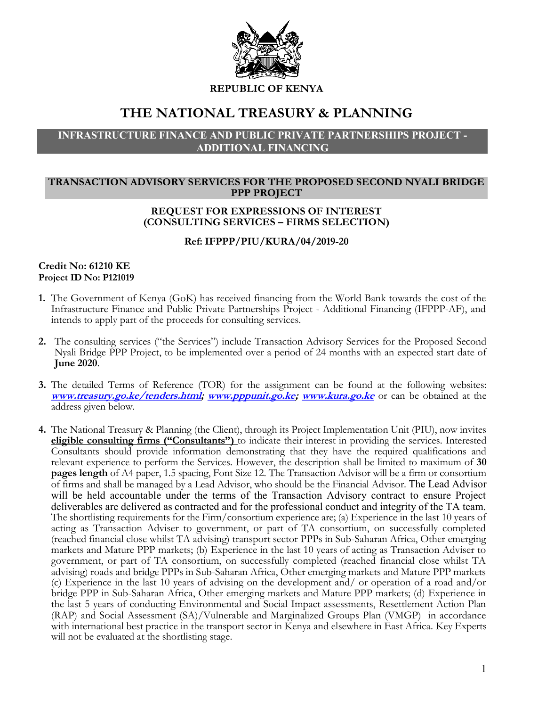

REPUBLIC OF KENYA

# THE NATIONAL TREASURY & PLANNING

## INFRASTRUCTURE FINANCE AND PUBLIC PRIVATE PARTNERSHIPS PROJECT - ADDITIONAL FINANCING

### TRANSACTION ADVISORY SERVICES FOR THE PROPOSED SECOND NYALI BRIDGE PPP PROJECT

## REQUEST FOR EXPRESSIONS OF INTEREST (CONSULTING SERVICES – FIRMS SELECTION)

Ref: IFPPP/PIU/KURA/04/2019-20

#### Credit No: 61210 KE Project ID No: P121019

- 1. The Government of Kenya (GoK) has received financing from the World Bank towards the cost of the Infrastructure Finance and Public Private Partnerships Project - Additional Financing (IFPPP-AF), and intends to apply part of the proceeds for consulting services.
- 2. The consulting services ("the Services") include Transaction Advisory Services for the Proposed Second Nyali Bridge PPP Project, to be implemented over a period of 24 months with an expected start date of June 2020.
- 3. The detailed Terms of Reference (TOR) for the assignment can be found at the following websites: www.treasury.go.ke/tenders.html; www.pppunit.go.ke; www.kura.go.ke or can be obtained at the address given below.
- 4. The National Treasury & Planning (the Client), through its Project Implementation Unit (PIU), now invites eligible consulting firms ("Consultants") to indicate their interest in providing the services. Interested Consultants should provide information demonstrating that they have the required qualifications and relevant experience to perform the Services. However, the description shall be limited to maximum of 30 pages length of A4 paper, 1.5 spacing, Font Size 12. The Transaction Advisor will be a firm or consortium of firms and shall be managed by a Lead Advisor, who should be the Financial Advisor. The Lead Advisor will be held accountable under the terms of the Transaction Advisory contract to ensure Project deliverables are delivered as contracted and for the professional conduct and integrity of the TA team. The shortlisting requirements for the Firm/consortium experience are; (a) Experience in the last 10 years of acting as Transaction Adviser to government, or part of TA consortium, on successfully completed (reached financial close whilst TA advising) transport sector PPPs in Sub-Saharan Africa, Other emerging markets and Mature PPP markets; (b) Experience in the last 10 years of acting as Transaction Adviser to government, or part of TA consortium, on successfully completed (reached financial close whilst TA advising) roads and bridge PPPs in Sub-Saharan Africa, Other emerging markets and Mature PPP markets (c) Experience in the last 10 years of advising on the development and/ or operation of a road and/or bridge PPP in Sub-Saharan Africa, Other emerging markets and Mature PPP markets; (d) Experience in the last 5 years of conducting Environmental and Social Impact assessments, Resettlement Action Plan (RAP) and Social Assessment (SA)/Vulnerable and Marginalized Groups Plan (VMGP) in accordance with international best practice in the transport sector in Kenya and elsewhere in East Africa. Key Experts will not be evaluated at the shortlisting stage.